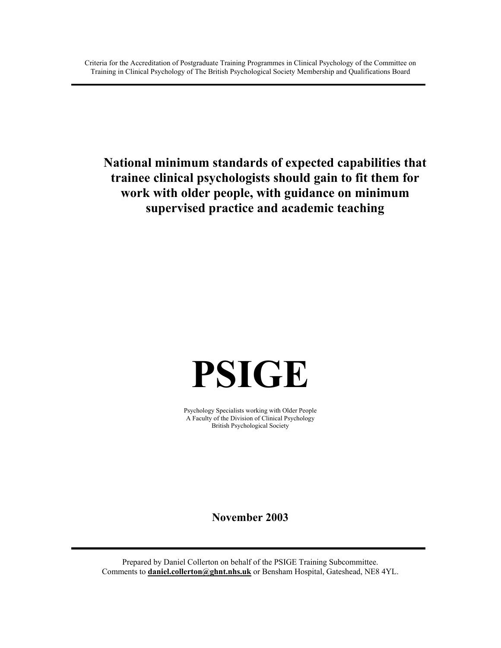**National minimum standards of expected capabilities that trainee clinical psychologists should gain to fit them for work with older people, with guidance on minimum supervised practice and academic teaching**

# **PSIGE**

Psychology Specialists working with Older People A Faculty of the Division of Clinical Psychology British Psychological Society

**November 2003**

Prepared by Daniel Collerton on behalf of the PSIGE Training Subcommittee. Comments to **[daniel.collerton@ghnt.nhs.uk](mailto:daniel.collerton@ghnt.nhs.uk)** or Bensham Hospital, Gateshead, NE8 4YL.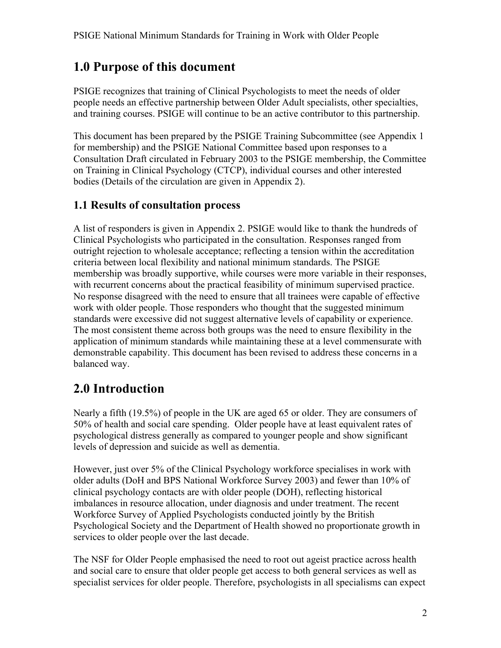## **1.0 Purpose of this document**

PSIGE recognizes that training of Clinical Psychologists to meet the needs of older people needs an effective partnership between Older Adult specialists, other specialties, and training courses. PSIGE will continue to be an active contributor to this partnership.

This document has been prepared by the PSIGE Training Subcommittee (see Appendix 1 for membership) and the PSIGE National Committee based upon responses to a Consultation Draft circulated in February 2003 to the PSIGE membership, the Committee on Training in Clinical Psychology (CTCP), individual courses and other interested bodies (Details of the circulation are given in Appendix 2).

#### **1.1 Results of consultation process**

A list of responders is given in Appendix 2. PSIGE would like to thank the hundreds of Clinical Psychologists who participated in the consultation. Responses ranged from outright rejection to wholesale acceptance; reflecting a tension within the accreditation criteria between local flexibility and national minimum standards. The PSIGE membership was broadly supportive, while courses were more variable in their responses, with recurrent concerns about the practical feasibility of minimum supervised practice. No response disagreed with the need to ensure that all trainees were capable of effective work with older people. Those responders who thought that the suggested minimum standards were excessive did not suggest alternative levels of capability or experience. The most consistent theme across both groups was the need to ensure flexibility in the application of minimum standards while maintaining these at a level commensurate with demonstrable capability. This document has been revised to address these concerns in a balanced way.

# **2.0 Introduction**

Nearly a fifth (19.5%) of people in the UK are aged 65 or older. They are consumers of 50% of health and social care spending. Older people have at least equivalent rates of psychological distress generally as compared to younger people and show significant levels of depression and suicide as well as dementia.

However, just over 5% of the Clinical Psychology workforce specialises in work with older adults (DoH and BPS National Workforce Survey 2003) and fewer than 10% of clinical psychology contacts are with older people (DOH), reflecting historical imbalances in resource allocation, under diagnosis and under treatment. The recent Workforce Survey of Applied Psychologists conducted jointly by the British Psychological Society and the Department of Health showed no proportionate growth in services to older people over the last decade.

The NSF for Older People emphasised the need to root out ageist practice across health and social care to ensure that older people get access to both general services as well as specialist services for older people. Therefore, psychologists in all specialisms can expect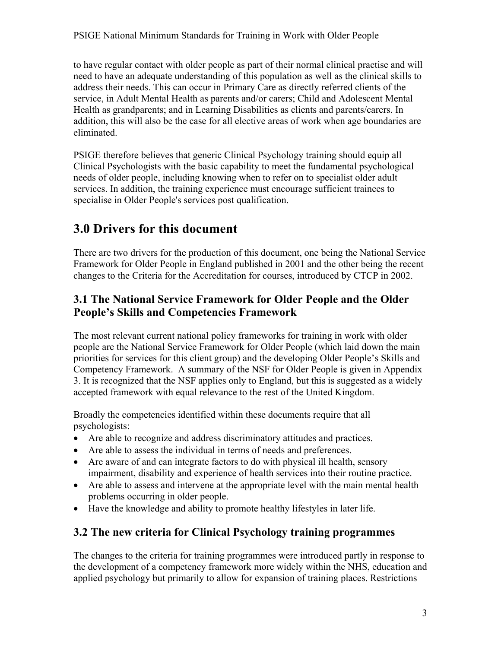to have regular contact with older people as part of their normal clinical practise and will need to have an adequate understanding of this population as well as the clinical skills to address their needs. This can occur in Primary Care as directly referred clients of the service, in Adult Mental Health as parents and/or carers; Child and Adolescent Mental Health as grandparents; and in Learning Disabilities as clients and parents/carers. In addition, this will also be the case for all elective areas of work when age boundaries are eliminated.

PSIGE therefore believes that generic Clinical Psychology training should equip all Clinical Psychologists with the basic capability to meet the fundamental psychological needs of older people, including knowing when to refer on to specialist older adult services. In addition, the training experience must encourage sufficient trainees to specialise in Older People's services post qualification.

# **3.0 Drivers for this document**

There are two drivers for the production of this document, one being the National Service Framework for Older People in England published in 2001 and the other being the recent changes to the Criteria for the Accreditation for courses, introduced by CTCP in 2002.

#### **3.1 The National Service Framework for Older People and the Older People's Skills and Competencies Framework**

The most relevant current national policy frameworks for training in work with older people are the National Service Framework for Older People (which laid down the main priorities for services for this client group) and the developing Older People's Skills and Competency Framework. A summary of the NSF for Older People is given in Appendix 3. It is recognized that the NSF applies only to England, but this is suggested as a widely accepted framework with equal relevance to the rest of the United Kingdom.

Broadly the competencies identified within these documents require that all psychologists:

- Are able to recognize and address discriminatory attitudes and practices.
- Are able to assess the individual in terms of needs and preferences.
- Are aware of and can integrate factors to do with physical ill health, sensory impairment, disability and experience of health services into their routine practice.
- Are able to assess and intervene at the appropriate level with the main mental health problems occurring in older people.
- Have the knowledge and ability to promote healthy lifestyles in later life.

### **3.2 The new criteria for Clinical Psychology training programmes**

The changes to the criteria for training programmes were introduced partly in response to the development of a competency framework more widely within the NHS, education and applied psychology but primarily to allow for expansion of training places. Restrictions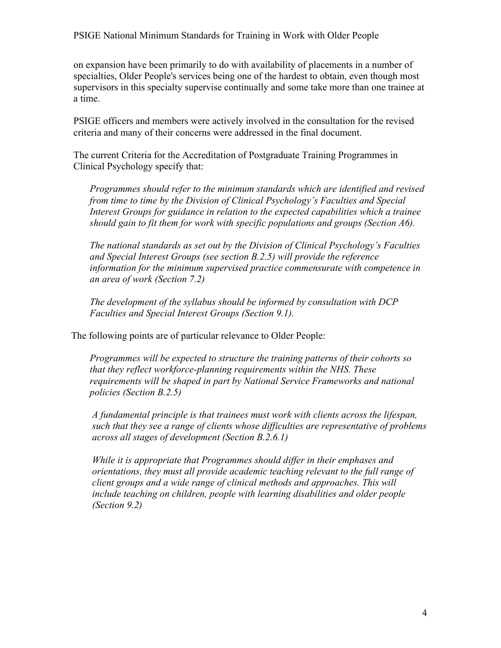on expansion have been primarily to do with availability of placements in a number of specialties, Older People's services being one of the hardest to obtain, even though most supervisors in this specialty supervise continually and some take more than one trainee at a time.

PSIGE officers and members were actively involved in the consultation for the revised criteria and many of their concerns were addressed in the final document.

The current Criteria for the Accreditation of Postgraduate Training Programmes in Clinical Psychology specify that:

*Programmes should refer to the minimum standards which are identified and revised from time to time by the Division of Clinical Psychology's Faculties and Special Interest Groups for guidance in relation to the expected capabilities which a trainee should gain to fit them for work with specific populations and groups (Section A6).* 

*The national standards as set out by the Division of Clinical Psychology's Faculties and Special Interest Groups (see section B.2.5) will provide the reference information for the minimum supervised practice commensurate with competence in an area of work (Section 7.2)* 

*The development of the syllabus should be informed by consultation with DCP Faculties and Special Interest Groups (Section 9.1).* 

The following points are of particular relevance to Older People:

*Programmes will be expected to structure the training patterns of their cohorts so that they reflect workforce-planning requirements within the NHS. These requirements will be shaped in part by National Service Frameworks and national policies (Section B.2.5)*

*A fundamental principle is that trainees must work with clients across the lifespan, such that they see a range of clients whose difficulties are representative of problems across all stages of development (Section B.2.6.1)* 

*While it is appropriate that Programmes should differ in their emphases and orientations, they must all provide academic teaching relevant to the full range of client groups and a wide range of clinical methods and approaches. This will include teaching on children, people with learning disabilities and older people (Section 9.2)*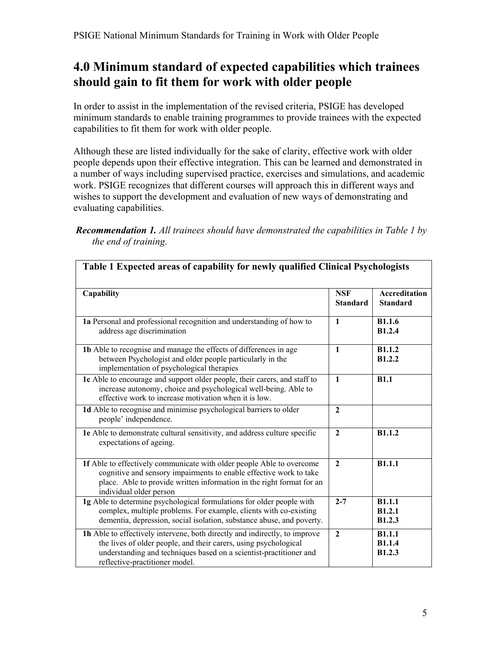# **4.0 Minimum standard of expected capabilities which trainees should gain to fit them for work with older people**

In order to assist in the implementation of the revised criteria, PSIGE has developed minimum standards to enable training programmes to provide trainees with the expected capabilities to fit them for work with older people.

Although these are listed individually for the sake of clarity, effective work with older people depends upon their effective integration. This can be learned and demonstrated in a number of ways including supervised practice, exercises and simulations, and academic work. PSIGE recognizes that different courses will approach this in different ways and wishes to support the development and evaluation of new ways of demonstrating and evaluating capabilities.

#### *Recommendation 1. All trainees should have demonstrated the capabilities in Table 1 by the end of training.*

| Table 1 Expected areas of capability for newly qualified Clinical Psychologists                                                                                                                                                                               |                               |                                                 |  |
|---------------------------------------------------------------------------------------------------------------------------------------------------------------------------------------------------------------------------------------------------------------|-------------------------------|-------------------------------------------------|--|
| Capability                                                                                                                                                                                                                                                    | <b>NSF</b><br><b>Standard</b> | <b>Accreditation</b><br><b>Standard</b>         |  |
| 1a Personal and professional recognition and understanding of how to<br>address age discrimination                                                                                                                                                            | $\mathbf{1}$                  | <b>B1.1.6</b><br><b>B1.2.4</b>                  |  |
| 1b Able to recognise and manage the effects of differences in age<br>between Psychologist and older people particularly in the<br>implementation of psychological therapies                                                                                   | $\mathbf{1}$                  | B1.1.2<br><b>B1.2.2</b>                         |  |
| 1c Able to encourage and support older people, their carers, and staff to<br>increase autonomy, choice and psychological well-being. Able to<br>effective work to increase motivation when it is low.                                                         | $\mathbf{1}$                  | <b>B1.1</b>                                     |  |
| 1d Able to recognise and minimise psychological barriers to older<br>people' independence.                                                                                                                                                                    | $\mathbf{2}$                  |                                                 |  |
| 1e Able to demonstrate cultural sensitivity, and address culture specific<br>expectations of ageing.                                                                                                                                                          | $\mathbf{2}$                  | <b>B1.1.2</b>                                   |  |
| 1f Able to effectively communicate with older people Able to overcome<br>cognitive and sensory impairments to enable effective work to take<br>place. Able to provide written information in the right format for an<br>individual older person               | $\mathbf{2}$                  | <b>B1.1.1</b>                                   |  |
| 1g Able to determine psychological formulations for older people with<br>complex, multiple problems. For example, clients with co-existing<br>dementia, depression, social isolation, substance abuse, and poverty.                                           | $2 - 7$                       | <b>B1.1.1</b><br><b>B1.2.1</b><br><b>B1.2.3</b> |  |
| <b>1h</b> Able to effectively intervene, both directly and indirectly, to improve<br>the lives of older people, and their carers, using psychological<br>understanding and techniques based on a scientist-practitioner and<br>reflective-practitioner model. | $\mathbf{2}$                  | <b>B1.1.1</b><br><b>B1.1.4</b><br><b>B1.2.3</b> |  |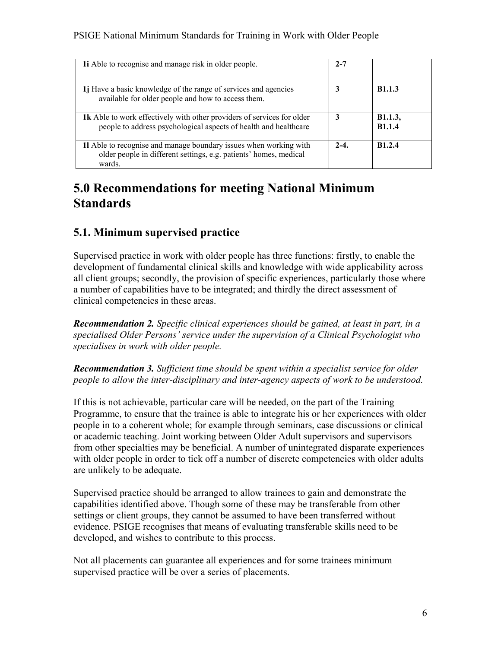| 1. Able to recognise and manage risk in older people.                                                                                            | $2 - 7$ |                          |
|--------------------------------------------------------------------------------------------------------------------------------------------------|---------|--------------------------|
| 1j Have a basic knowledge of the range of services and agencies<br>available for older people and how to access them.                            | 3       | <b>B1.1.3</b>            |
| 1k Able to work effectively with other providers of services for older<br>people to address psychological aspects of health and healthcare       |         | B1.1.3,<br><b>B1.1.4</b> |
| 11 Able to recognise and manage boundary issues when working with<br>older people in different settings, e.g. patients' homes, medical<br>wards. | $2 - 4$ | <b>B1.2.4</b>            |

# **5.0 Recommendations for meeting National Minimum Standards**

### **5.1. Minimum supervised practice**

Supervised practice in work with older people has three functions: firstly, to enable the development of fundamental clinical skills and knowledge with wide applicability across all client groups; secondly, the provision of specific experiences, particularly those where a number of capabilities have to be integrated; and thirdly the direct assessment of clinical competencies in these areas.

*Recommendation 2. Specific clinical experiences should be gained, at least in part, in a specialised Older Persons' service under the supervision of a Clinical Psychologist who specialises in work with older people.* 

*Recommendation 3. Sufficient time should be spent within a specialist service for older people to allow the inter-disciplinary and inter-agency aspects of work to be understood.* 

If this is not achievable, particular care will be needed, on the part of the Training Programme, to ensure that the trainee is able to integrate his or her experiences with older people in to a coherent whole; for example through seminars, case discussions or clinical or academic teaching. Joint working between Older Adult supervisors and supervisors from other specialties may be beneficial. A number of unintegrated disparate experiences with older people in order to tick off a number of discrete competencies with older adults are unlikely to be adequate.

Supervised practice should be arranged to allow trainees to gain and demonstrate the capabilities identified above. Though some of these may be transferable from other settings or client groups, they cannot be assumed to have been transferred without evidence. PSIGE recognises that means of evaluating transferable skills need to be developed, and wishes to contribute to this process.

Not all placements can guarantee all experiences and for some trainees minimum supervised practice will be over a series of placements.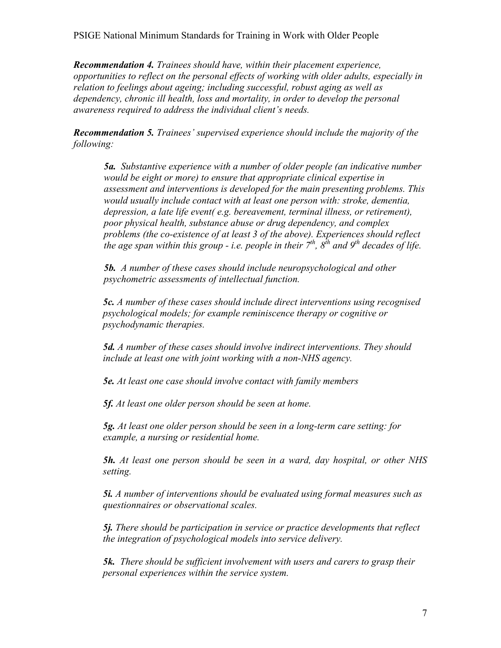*Recommendation 4. Trainees should have, within their placement experience, opportunities to reflect on the personal effects of working with older adults, especially in relation to feelings about ageing; including successful, robust aging as well as dependency, chronic ill health, loss and mortality, in order to develop the personal awareness required to address the individual client's needs.*

*Recommendation 5. Trainees' supervised experience should include the majority of the following:* 

*5a. Substantive experience with a number of older people (an indicative number would be eight or more) to ensure that appropriate clinical expertise in assessment and interventions is developed for the main presenting problems. This would usually include contact with at least one person with: stroke, dementia, depression, a late life event( e.g. bereavement, terminal illness, or retirement), poor physical health, substance abuse or drug dependency, and complex problems (the co-existence of at least 3 of the above). Experiences should reflect the age span within this group - i.e. people in their*  $7<sup>th</sup>$ ,  $8<sup>th</sup>$  and  $9<sup>th</sup>$  decades of life.

*5b. A number of these cases should include neuropsychological and other psychometric assessments of intellectual function.*

*5c. A number of these cases should include direct interventions using recognised psychological models; for example reminiscence therapy or cognitive or psychodynamic therapies.* 

*5d. A number of these cases should involve indirect interventions. They should include at least one with joint working with a non-NHS agency.* 

*5e. At least one case should involve contact with family members* 

*5f. At least one older person should be seen at home.* 

*5g. At least one older person should be seen in a long-term care setting: for example, a nursing or residential home.* 

*5h. At least one person should be seen in a ward, day hospital, or other NHS setting.* 

*5i. A number of interventions should be evaluated using formal measures such as questionnaires or observational scales.* 

*5j. There should be participation in service or practice developments that reflect the integration of psychological models into service delivery.* 

*5k. There should be sufficient involvement with users and carers to grasp their personal experiences within the service system.*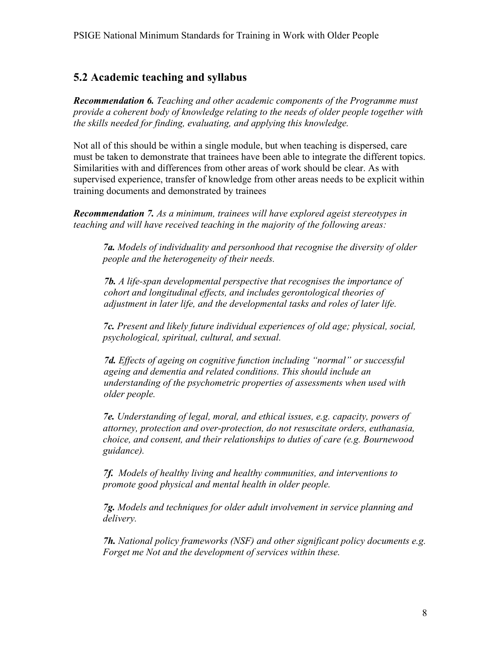#### **5.2 Academic teaching and syllabus**

*Recommendation 6. Teaching and other academic components of the Programme must provide a coherent body of knowledge relating to the needs of older people together with the skills needed for finding, evaluating, and applying this knowledge.*

Not all of this should be within a single module, but when teaching is dispersed, care must be taken to demonstrate that trainees have been able to integrate the different topics. Similarities with and differences from other areas of work should be clear. As with supervised experience, transfer of knowledge from other areas needs to be explicit within training documents and demonstrated by trainees

*Recommendation 7. As a minimum, trainees will have explored ageist stereotypes in teaching and will have received teaching in the majority of the following areas:* 

*7a. Models of individuality and personhood that recognise the diversity of older people and the heterogeneity of their needs.* 

*7b. A life-span developmental perspective that recognises the importance of cohort and longitudinal effects, and includes gerontological theories of adjustment in later life, and the developmental tasks and roles of later life.* 

*7c. Present and likely future individual experiences of old age; physical, social, psychological, spiritual, cultural, and sexual.* 

*7d. Effects of ageing on cognitive function including "normal" or successful ageing and dementia and related conditions. This should include an understanding of the psychometric properties of assessments when used with older people.* 

*7e. Understanding of legal, moral, and ethical issues, e.g. capacity, powers of attorney, protection and over-protection, do not resuscitate orders, euthanasia, choice, and consent, and their relationships to duties of care (e.g. Bournewood guidance).* 

*7f. Models of healthy living and healthy communities, and interventions to promote good physical and mental health in older people.* 

*7g. Models and techniques for older adult involvement in service planning and delivery.* 

*7h. National policy frameworks (NSF) and other significant policy documents e.g. Forget me Not and the development of services within these.*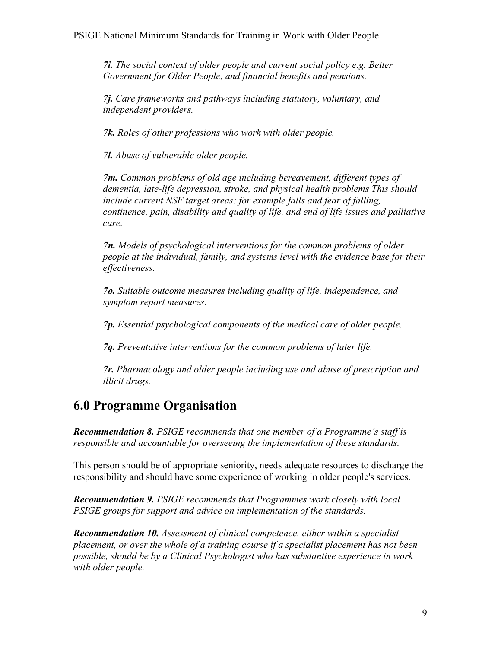*7i. The social context of older people and current social policy e.g. Better Government for Older People, and financial benefits and pensions.* 

*7j. Care frameworks and pathways including statutory, voluntary, and independent providers.* 

*7k. Roles of other professions who work with older people.* 

*7l. Abuse of vulnerable older people.*

*7m. Common problems of old age including bereavement, different types of dementia, late-life depression, stroke, and physical health problems This should include current NSF target areas: for example falls and fear of falling, continence, pain, disability and quality of life, and end of life issues and palliative care.* 

*7n. Models of psychological interventions for the common problems of older people at the individual, family, and systems level with the evidence base for their effectiveness.*

*7o. Suitable outcome measures including quality of life, independence, and symptom report measures.* 

*7p. Essential psychological components of the medical care of older people.* 

*7q. Preventative interventions for the common problems of later life.* 

*7r. Pharmacology and older people including use and abuse of prescription and illicit drugs.*

## **6.0 Programme Organisation**

*Recommendation 8. PSIGE recommends that one member of a Programme's staff is responsible and accountable for overseeing the implementation of these standards.*

This person should be of appropriate seniority, needs adequate resources to discharge the responsibility and should have some experience of working in older people's services.

*Recommendation 9. PSIGE recommends that Programmes work closely with local PSIGE groups for support and advice on implementation of the standards.* 

*Recommendation 10. Assessment of clinical competence, either within a specialist placement, or over the whole of a training course if a specialist placement has not been possible, should be by a Clinical Psychologist who has substantive experience in work with older people.*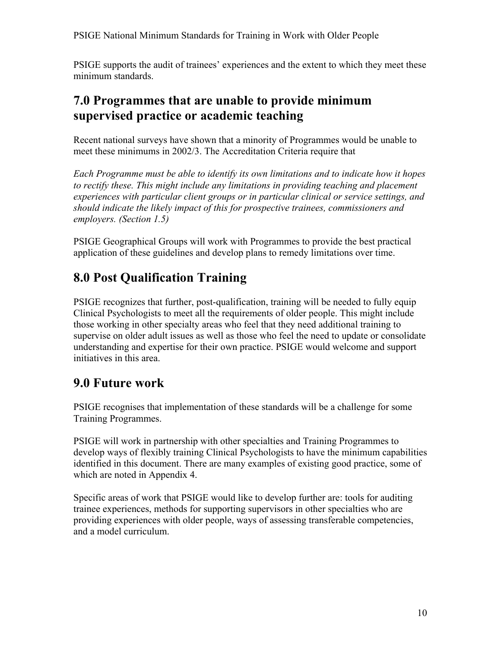PSIGE supports the audit of trainees' experiences and the extent to which they meet these minimum standards.

# **7.0 Programmes that are unable to provide minimum supervised practice or academic teaching**

Recent national surveys have shown that a minority of Programmes would be unable to meet these minimums in 2002/3. The Accreditation Criteria require that

*Each Programme must be able to identify its own limitations and to indicate how it hopes to rectify these. This might include any limitations in providing teaching and placement experiences with particular client groups or in particular clinical or service settings, and should indicate the likely impact of this for prospective trainees, commissioners and employers. (Section 1.5)*

PSIGE Geographical Groups will work with Programmes to provide the best practical application of these guidelines and develop plans to remedy limitations over time.

# **8.0 Post Qualification Training**

PSIGE recognizes that further, post-qualification, training will be needed to fully equip Clinical Psychologists to meet all the requirements of older people. This might include those working in other specialty areas who feel that they need additional training to supervise on older adult issues as well as those who feel the need to update or consolidate understanding and expertise for their own practice. PSIGE would welcome and support initiatives in this area.

# **9.0 Future work**

PSIGE recognises that implementation of these standards will be a challenge for some Training Programmes.

PSIGE will work in partnership with other specialties and Training Programmes to develop ways of flexibly training Clinical Psychologists to have the minimum capabilities identified in this document. There are many examples of existing good practice, some of which are noted in Appendix 4.

Specific areas of work that PSIGE would like to develop further are: tools for auditing trainee experiences, methods for supporting supervisors in other specialties who are providing experiences with older people, ways of assessing transferable competencies, and a model curriculum.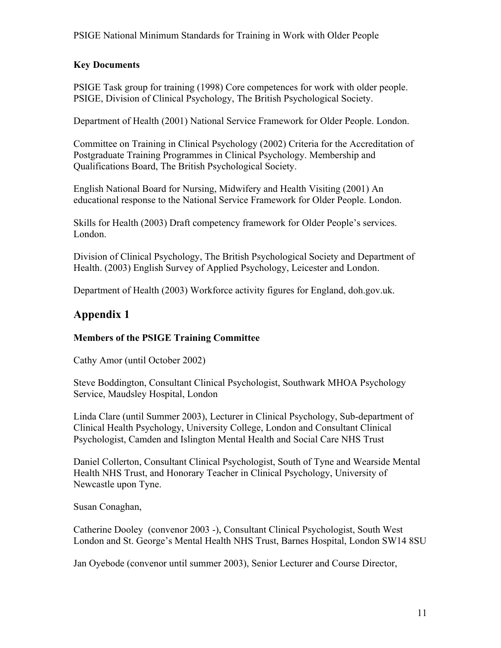#### **Key Documents**

PSIGE Task group for training (1998) Core competences for work with older people. PSIGE, Division of Clinical Psychology, The British Psychological Society.

Department of Health (2001) National Service Framework for Older People. London.

Committee on Training in Clinical Psychology (2002) Criteria for the Accreditation of Postgraduate Training Programmes in Clinical Psychology. Membership and Qualifications Board, The British Psychological Society.

English National Board for Nursing, Midwifery and Health Visiting (2001) An educational response to the National Service Framework for Older People. London.

Skills for Health (2003) Draft competency framework for Older People's services. London.

Division of Clinical Psychology, The British Psychological Society and Department of Health. (2003) English Survey of Applied Psychology, Leicester and London.

Department of Health (2003) Workforce activity figures for England, doh.gov.uk.

## **Appendix 1**

#### **Members of the PSIGE Training Committee**

Cathy Amor (until October 2002)

Steve Boddington, Consultant Clinical Psychologist, Southwark MHOA Psychology Service, Maudsley Hospital, London

Linda Clare (until Summer 2003), Lecturer in Clinical Psychology, Sub-department of Clinical Health Psychology, University College, London and Consultant Clinical Psychologist, Camden and Islington Mental Health and Social Care NHS Trust

Daniel Collerton, Consultant Clinical Psychologist, South of Tyne and Wearside Mental Health NHS Trust, and Honorary Teacher in Clinical Psychology, University of Newcastle upon Tyne.

Susan Conaghan,

Catherine Dooley (convenor 2003 -), Consultant Clinical Psychologist, South West London and St. George's Mental Health NHS Trust, Barnes Hospital, London SW14 8SU

Jan Oyebode (convenor until summer 2003), Senior Lecturer and Course Director,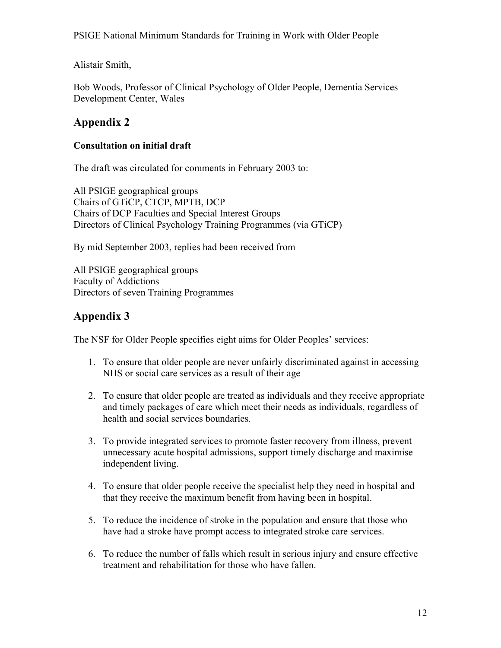Alistair Smith,

Bob Woods, Professor of Clinical Psychology of Older People, Dementia Services Development Center, Wales

## **Appendix 2**

#### **Consultation on initial draft**

The draft was circulated for comments in February 2003 to:

All PSIGE geographical groups Chairs of GTiCP, CTCP, MPTB, DCP Chairs of DCP Faculties and Special Interest Groups Directors of Clinical Psychology Training Programmes (via GTiCP)

By mid September 2003, replies had been received from

All PSIGE geographical groups Faculty of Addictions Directors of seven Training Programmes

## **Appendix 3**

The NSF for Older People specifies eight aims for Older Peoples' services:

- 1. To ensure that older people are never unfairly discriminated against in accessing NHS or social care services as a result of their age
- 2. To ensure that older people are treated as individuals and they receive appropriate and timely packages of care which meet their needs as individuals, regardless of health and social services boundaries.
- 3. To provide integrated services to promote faster recovery from illness, prevent unnecessary acute hospital admissions, support timely discharge and maximise independent living.
- 4. To ensure that older people receive the specialist help they need in hospital and that they receive the maximum benefit from having been in hospital.
- 5. To reduce the incidence of stroke in the population and ensure that those who have had a stroke have prompt access to integrated stroke care services.
- 6. To reduce the number of falls which result in serious injury and ensure effective treatment and rehabilitation for those who have fallen.